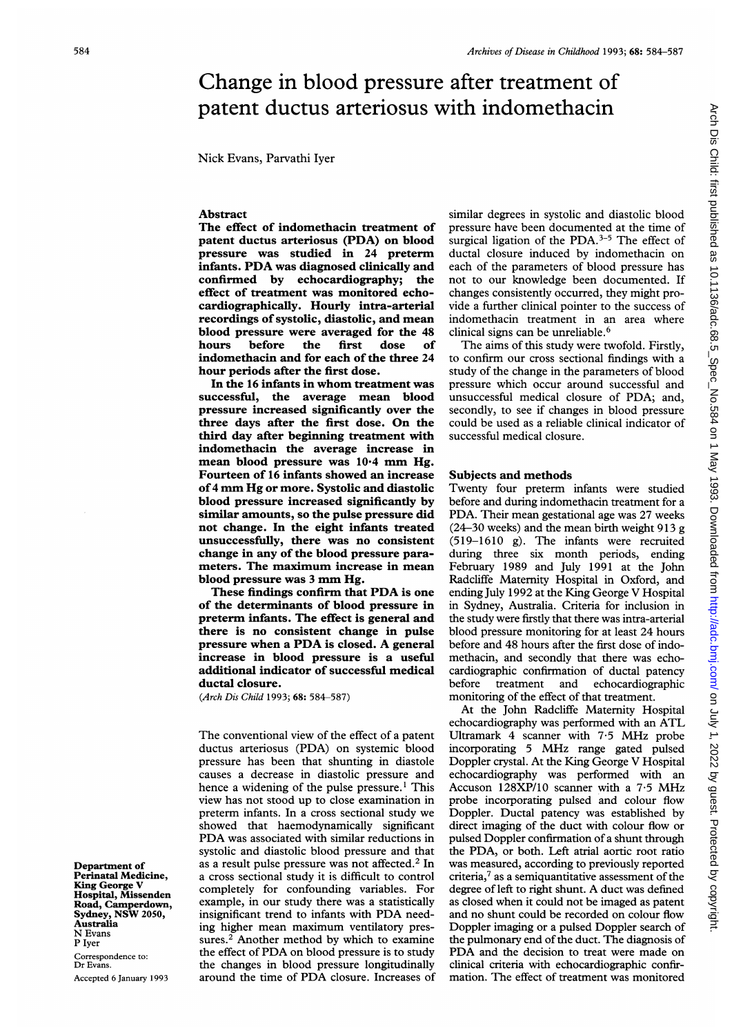# Change in blood pressure after treatment of patent ductus arteriosus with indomethacin

Nick Evans, Parvathi Iyer

## **Abstract**

The effect of indomethacin treatment of patent ductus arteriosus (PDA) on blood pressure was studied in 24 preterm infants. PDA was diagnosed clinically and confirmed by echocardiography; the effect of treatment was monitored echocardiographically. Hourly intra-arterial recordings of systolic, diastolic, and mean blood pressure were averaged for the 48<br>hours before the first dose of before the first dose of indomethacin and for each of the three 24 hour periods after the first dose.

In the <sup>16</sup> infants in whom treatment was successful, the average mean blood pressure increased significantly over the three days after the first dose. On the third day after beginning treatment with indomethacin the average increase in mean blood pressure was <sup>104</sup> mm Hg. Fourteen of 16 infants showed an increase of<sup>4</sup> mmHg or more. Systolic and diastolic blood pressure increased significantly by similar amounts, so the pulse pressure did not change. In the eight infants treated unsuccessfully, there was no consistent change in any of the blood pressure parameters. The maximum increase in mean blood pressure was <sup>3</sup> mm Hg.

These findings confirm that PDA is one of the determinants of blood pressure in preterm infants. The effect is general and there is no consistent change in pulse pressure when <sup>a</sup> PDA is closed. A general increase in blood pressure is a useful additional indicator of successful medical ductal closure.

(Arch Dis Child 1993; 68: 584-587)

The conventional view of the effect of a patent ductus arteriosus (PDA) on systemic blood pressure has been that shunting in diastole causes a decrease in diastolic pressure and hence a widening of the pulse pressure.<sup>1</sup> This view has not stood up to close examination in preterm infants. In a cross sectional study we showed that haemodynamically significant PDA was associated with similar reductions in systolic and diastolic blood pressure and that as a result pulse pressure was not affected.2 In a cross sectional study it is difficult to control completely for confounding variables. For example, in our study there was a statistically insignificant trend to infants with PDA needing higher mean maximum ventilatory pressures.<sup>2</sup> Another method by which to examine the effect of PDA on blood pressure is to study the changes in blood pressure longitudinally around the time of PDA closure. Increases of similar degrees in systolic and diastolic blood pressure have been documented at the time of surgical ligation of the PDA. $3-5$  The effect of ductal closure induced by indomethacin on each of the parameters of blood pressure has not to our knowledge been documented. If changes consistently occurred, they might provide a further clinical pointer to the success of indomethacin treatment in an area where clinical signs can be unreliable.<sup>6</sup>

The aims of this study were twofold. Firstly, to confirm our cross sectional findings with a study of the change in the parameters of blood pressure which occur around successful and unsuccessful medical closure of PDA; and, secondly, to see if changes in blood pressure could be used as a reliable clinical indicator of successful medical closure.

### Subjects and methods

Twenty four preterm infants were studied before and during indomethacin treatment for a PDA. Their mean gestational age was 27 weeks (24-30 weeks) and the mean birth weight 913 g (519-1610 g). The infants were recruited during three six month periods, ending February 1989 and July 1991 at the John Radcliffe Maternity Hospital in Oxford, and ending July <sup>1992</sup> at the King George V Hospital in Sydney, Australia. Criteria for inclusion in the study were firstly that there was intra-arterial blood pressure monitoring for at least 24 hours before and 48 hours after the first dose of indomethacin, and secondly that there was echocardiographic confirmation of ductal patency before treatment and echocardiographic monitoring of the effect of that treatment.

At the John Radcliffe Maternity Hospital echocardiography was performed with an ATL Ultramark <sup>4</sup> scanner with 7-5 MHz probe incorporating <sup>5</sup> MHz range gated pulsed Doppler crystal. At the King George V Hospital echocardiography was performed with an Accuson 128XP/10 scanner with <sup>a</sup> 7-5 MHz probe incorporating pulsed and colour flow Doppler. Ductal patency was established by direct imaging of the duct with colour flow or pulsed Doppler confirmation of a shunt through the PDA, or both. Left atrial aortic root ratio was measured, according to previously reported criteria, $7$  as a semiquantitative assessment of the degree of left to right shunt. A duct was defined as closed when it could not be imaged as patent and no shunt could be recorded on colour flow Doppler imaging or a pulsed Doppler search of the pulmonary end of the duct. The diagnosis of PDA and the decision to treat were made on clinical criteria with echocardiographic confirmation. The effect of treatment was monitored

Department of Perinatal Medicine, King George V Hospital, Missenden Road, Camperdown, Sydney, NSW 2050, Australia N Evans P Iyer Correspondence to: Dr Evans.

Accepted 6 January 1993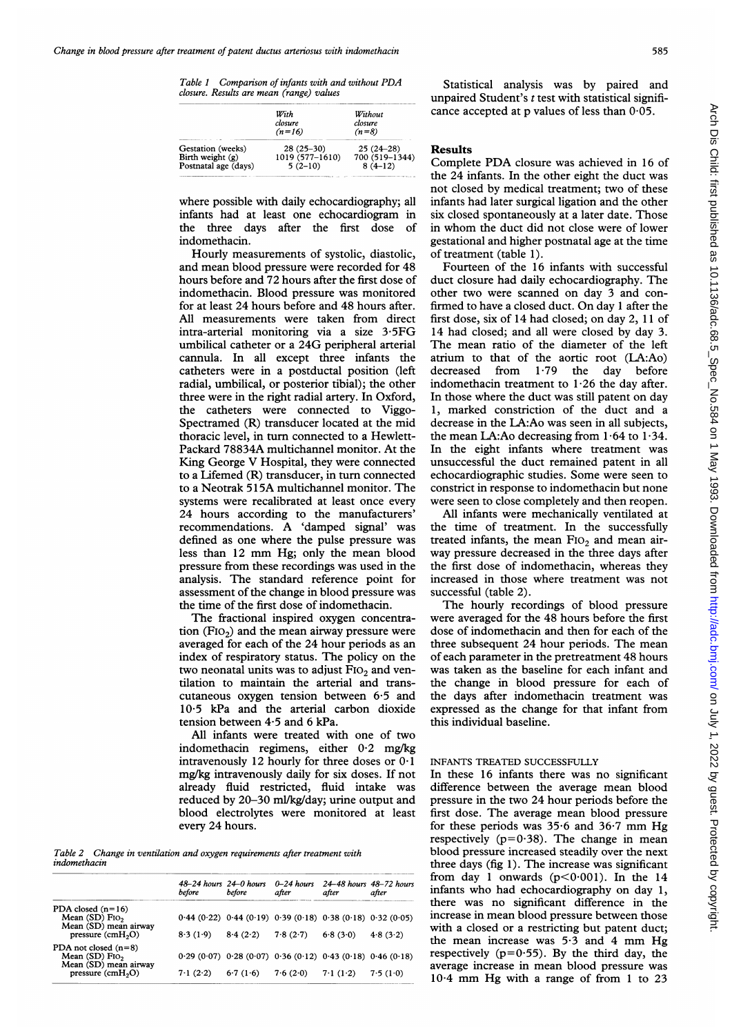| Table 1 Comparison of infants with and without PDA |
|----------------------------------------------------|
| closure. Results are mean (range) values           |

|                      | With<br>closure<br>$(n=16)$ | Without<br>closure<br>$(n=8)$ |
|----------------------|-----------------------------|-------------------------------|
| Gestation (weeks)    | $28(25-30)$                 | $25(24-28)$                   |
| Birth weight $(g)$   | 1019 (577-1610)             | 700 (519-1344)                |
| Postnatal age (days) | $5(2-10)$                   | $8(4-12)$                     |

where possible with daily echocardiography; all infants had at least one echocardiogram in the three days after the first dose indomethacin.

Hourly measurements of systolic, diastolic, and mean blood pressure were recorded for 48 hours before and 72 hours after the first dose of indomethacin. Blood pressure wa for at least 24 hours before and 48 hours after. All measurements were taken from direct intra-arterial monitoring via a umbilical catheter or a 24G peripheral arterial cannula. In all except three catheters were in a postductal position (left radial, umbilical, or posterior tibial); the other three were in the right radial artery. In Oxford, the catheters were connected to Viggo-Spectramed (R) transducer located at the mid thoracic level, in turn connected to a Hewlett-Packard 78834A multichannel monitor. At the King George V Hospital, they were connected to a Lifemed  $(R)$  transducer, in turn connected to a Neotrak 515A multichannel monitor. The systems were recalibrated at least once every 24 hours according to the manufacturers' recommendations. A 'damped defined as one where the pulse pressure was less than <sup>12</sup> mm Hg; only the pressure from these recordings wa analysis. The standard referenc assessment of the change in blood the time of the first dose of indom

The fractional inspired oxygen concentration  $(FIO_2)$  and the mean airway pressure were averaged for each of the 24 hour periods as an index of respiratory status. The policy on the two neonatal units was to adjust  $FIO<sub>2</sub>$  and ventilation to maintain the arterial and transcutaneous oxygen tension between  $6.5$  and  $10.5$  kPa and the arterial carbon dioxide tension between 4-5 and 6 kPa.

All infants were treated with one of two indomethacin regimens, either 0-2 mg/kg intravenously 12 hourly for three doses or  $0.1$ mg/kg intravenously daily for six already fluid restricted, fluid intake was reduced by 20-30 ml/kg/day; urine output and blood electrolytes were monitored at least every 24 hours.

Table 2 Change in ventilation and oxygen requirements after treatment with indomethacin

|                                                                              | 48–24 hours 24–0 hours<br>before | before   | $0 - 24$ hours<br>after | 24–48 hours 48–72 hours<br>after                                      | after    |
|------------------------------------------------------------------------------|----------------------------------|----------|-------------------------|-----------------------------------------------------------------------|----------|
| PDA closed $(n=16)$<br>Mean $(SD)$ Fio <sub>2</sub><br>Mean (SD) mean airway |                                  |          |                         | $0.44$ (0.22) $0.44$ (0.19) $0.39$ (0.18) $0.38$ (0.18) $0.32$ (0.05) |          |
| pressure $(cmH2O)$                                                           | 8.3(1.9)                         | 8.4(2.2) | 7.8(2.7)                | 6.8(3.0)                                                              | 4.8(3.2) |
| PDA not closed $(n=8)$<br>Mean $(SD)$ Fio <sub>2</sub>                       |                                  |          |                         | $0.29$ (0.07) $0.28$ (0.07) $0.36$ (0.12) $0.43$ (0.18) $0.46$ (0.18) |          |
| Mean (SD) mean airway<br>pressure $(cmH2O)$                                  | 7.1(2.2)                         | 6.7(1.6) | 7.6(2.0)                | 7.1(1.2)                                                              | 7.5(1.0) |

Statistical analysis was by paired and unpaired Student's  $t$  test with statistical significance accepted at p values of less than  $0.05$ .

## **Results**

Complete PDA closure was achieved in 16 of the 24 infants. In the other eight the duct was not closed by medical treatment; two of these infants had later surgical ligation and the other six closed spontaneously at a later date. Those in whom the duct did not close were of lower gestational and higher postnatal age at the time of treatment (table 1).

Fourteen of the 16 infants with successful duct closure had daily echocardiography. The other two were scanned on day 3 and confirmed to have a closed duct. On day 1 after the first dose, six of 14 had closed; on day 2, 11 of 14 had closed; and all were closed by day 3. The mean ratio of the diameter of the left atrium to that of the aortic root (LA:Ao) decreased from  $1-79$  the day before indomethacin treatment to  $1.26$  the day after. In those where the duct was still patent on day 1, marked constriction of the duct and a decrease in the LA:Ao was seen in all subjects, the mean LA:Ao decreasing from  $1.64$  to  $1.34$ . In the eight infants where treatment was unsuccessful the duct remained patent in all echocardiographic studies. Some were seen to constrict in response to indomethacin but none. were seen to close completely and then reopen.

All infants were mechanically ventilated at the time of treatment. In the successfully treated infants, the mean  $FIO<sub>2</sub>$  and mean airway pressure decreased in the three days after the first dose of indomethacin, whereas they increased in those where treatment was not successful (table 2).

The hourly recordings of blood pressure were averaged for the 48 hours before the first dose of indomethacin and then for each of the three subsequent 24 hour periods. The mean of each parameter in the pretreatment 48 hours was taken as the baseline for each infant and the change in blood pressure for each of the days after indomethacin treatment was expressed as the change for that infant from this individual baseline.

## INFANTS TREATED SUCCESSFULLY

In these 16 infants there was no significant difference between the average mean blood pressure in the two 24 hour periods before the first dose. The average mean blood pressure for these periods was 35-6 and 36-7 mm Hg respectively ( $p=0.38$ ). The change in mean blood pressure increased steadily over the next three days (fig 1). The increase was significant from day 1 onwards ( $p < 0.001$ ). In the 14 infants who had echocardiography on day  $1$ , there was no significant difference in the increase in mean blood pressure between those with a closed or a restricting but patent duct; the mean increase was 5-3 and <sup>4</sup> mm Hg respectively ( $p=0.55$ ). By the third day, the average increase in mean blood pressure was  $10.4$  mm Hg with a range of from 1 to 23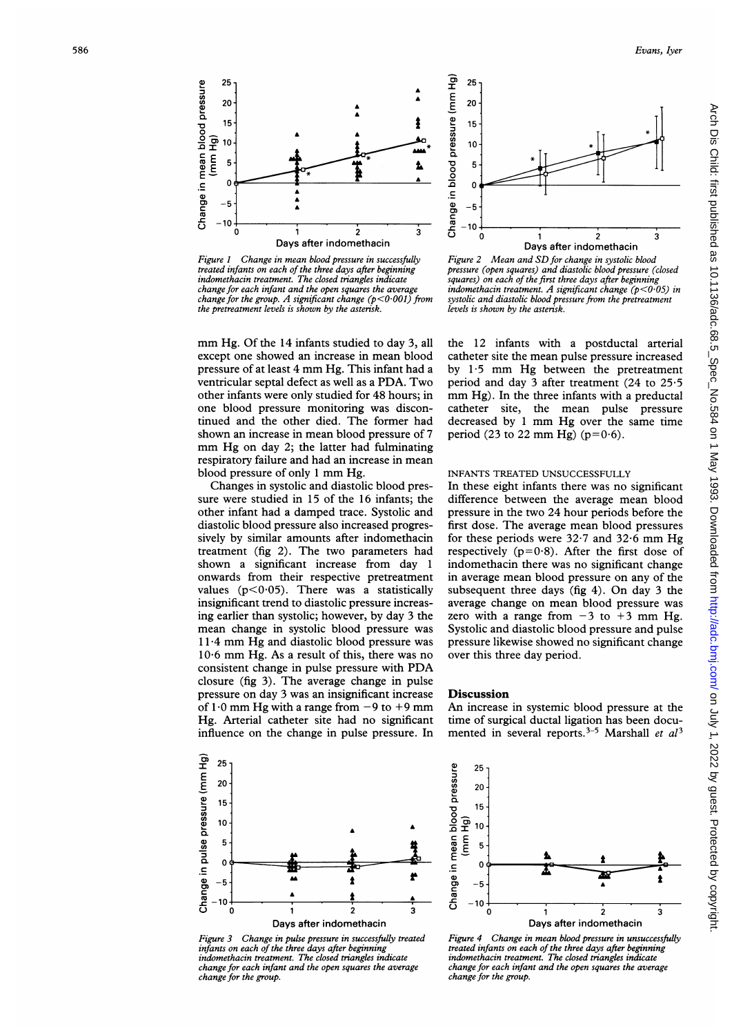

Figure 1 Change in mean blood pressure in successfully treated infants on each of the three days after beginning indomethacin treatment. The closed triangles indicate change for each infant and the open squares the average change for the group. A significant change  $(p<0.001)$  from the pretreatment levels is shown by the asterisk.

mm Hg. Of the <sup>14</sup> infants studied to day 3, all except one showed an increase in mean blood pressure of at least <sup>4</sup> mm Hg. This infant had a ventricular septal defect as well as <sup>a</sup> PDA. Two other infants were only studied for 48 hours; in one blood pressure monitoring was discontinued and the other died. The former had shown an increase in mean blood pressure of 7 mm Hg on day 2; the latter had fulminating respiratory failure and had an increase in mean blood pressure of only <sup>1</sup> mm Hg.

Changes in systolic and diastolic blood pressure were studied in 15 of the 16 infants; the other infant had a damped trace. Systolic and diastolic blood pressure also increased progressively by similar amounts after indomethacin treatment (fig 2). The two parameters had shown a significant increase from day 1 onwards from their respective pretreatment values ( $p < 0.05$ ). There was a statistically insignificant trend to diastolic pressure increasing earlier than systolic; however, by day 3 the mean change in systolic blood pressure was 114 mm Hg and diastolic blood pressure was 10-6 mm Hg. As a result of this, there was no consistent change in pulse pressure with PDA closure (fig 3). The average change in pulse pressure on day 3 was an insignificant increase of  $1.0$  mm Hg with a range from  $-9$  to  $+9$  mm Hg. Arterial catheter site had no significant influence on the change in pulse pressure. In



Figure 3 Change in pulse pressure in successfully treated infants on each of the three days after beginning indomethacin treatment. The closed triangles indicate change for each infant and the open squares the average change for the group.



Figure 2 Mean and SD for change in systolic blood pressure (open squares) and diastolic blood pressure (closed squares) on each of the first three days after beginning indomethacin treatment. A significant change (p<0 05) in systolic and diastolic blood pressure from the pretreatment levels is shown by the asterisk.

the 12 infants with a postductal arterial catheter site the mean pulse pressure increased by 1-5 mm Hg between the pretreatment period and day 3 after treatment (24 to 25-5 mm Hg). In the three infants with a preductal catheter site, the mean pulse pressure decreased by <sup>1</sup> mm Hg over the same time period (23 to 22 mm Hg) ( $p=0.6$ ).

## INFANTS TREATED UNSUCCESSFULLY

In these eight infants there was no significant difference between the average mean blood pressure in the two 24 hour periods before the first dose. The average mean blood pressures for these periods were  $32.7$  and  $32.6$  mm Hg respectively  $(p=0.8)$ . After the first dose of indomethacin there was no significant change in average mean blood pressure on any of the subsequent three days (fig 4). On day 3 the average change on mean blood pressure was zero with a range from  $-3$  to  $+3$  mm Hg. Systolic and diastolic blood pressure and pulse pressure likewise showed no significant change over this three day period.

## Discussion

An increase in systemic blood pressure at the time of surgical ductal ligation has been documented in several reports.<sup>3-5</sup> Marshall et  $al^3$ 



Figure 4 Change in mean blood pressure in unsuccessfully treated infants on each of the three days after beginning indomethacin treatment. The closed triangles indicate change for each infant and the open squares the average change for the group.